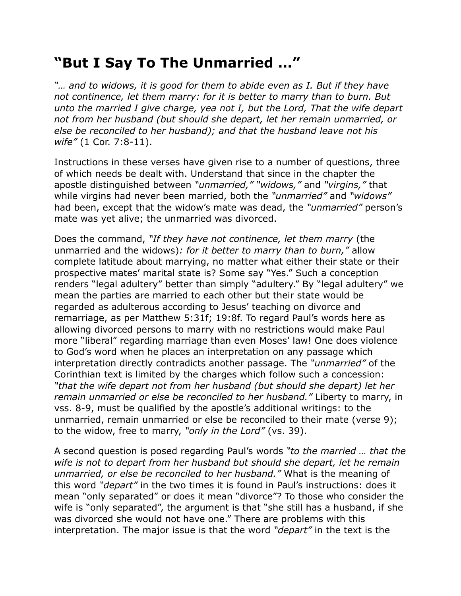## **"But I Say To The Unmarried …"**

*"… and to widows, it is good for them to abide even as I. But if they have not continence, let them marry: for it is better to marry than to burn. But unto the married I give charge, yea not I, but the Lord, That the wife depart not from her husband (but should she depart, let her remain unmarried, or else be reconciled to her husband); and that the husband leave not his wife"* (1 Cor. 7:8-11).

Instructions in these verses have given rise to a number of questions, three of which needs be dealt with. Understand that since in the chapter the apostle distinguished between *"unmarried," "widows,"* and *"virgins,"* that while virgins had never been married, both the *"unmarried"* and *"widows"* had been, except that the widow's mate was dead, the *"unmarried"* person's mate was yet alive; the unmarried was divorced.

Does the command, *"If they have not continence, let them marry* (the unmarried and the widows)*: for it better to marry than to burn,"* allow complete latitude about marrying, no matter what either their state or their prospective mates' marital state is? Some say "Yes." Such a conception renders "legal adultery" better than simply "adultery." By "legal adultery" we mean the parties are married to each other but their state would be regarded as adulterous according to Jesus' teaching on divorce and remarriage, as per Matthew 5:31f; 19:8f. To regard Paul's words here as allowing divorced persons to marry with no restrictions would make Paul more "liberal" regarding marriage than even Moses' law! One does violence to God's word when he places an interpretation on any passage which interpretation directly contradicts another passage. The *"unmarried"* of the Corinthian text is limited by the charges which follow such a concession: *"that the wife depart not from her husband (but should she depart) let her remain unmarried or else be reconciled to her husband."* Liberty to marry, in vss. 8-9, must be qualified by the apostle's additional writings: to the unmarried, remain unmarried or else be reconciled to their mate (verse 9); to the widow, free to marry, *"only in the Lord"* (vs. 39).

A second question is posed regarding Paul's words *"to the married … that the wife is not to depart from her husband but should she depart, let he remain unmarried, or else be reconciled to her husband."* What is the meaning of this word *"depart"* in the two times it is found in Paul's instructions: does it mean "only separated" or does it mean "divorce"? To those who consider the wife is "only separated", the argument is that "she still has a husband, if she was divorced she would not have one." There are problems with this interpretation. The major issue is that the word *"depart"* in the text is the